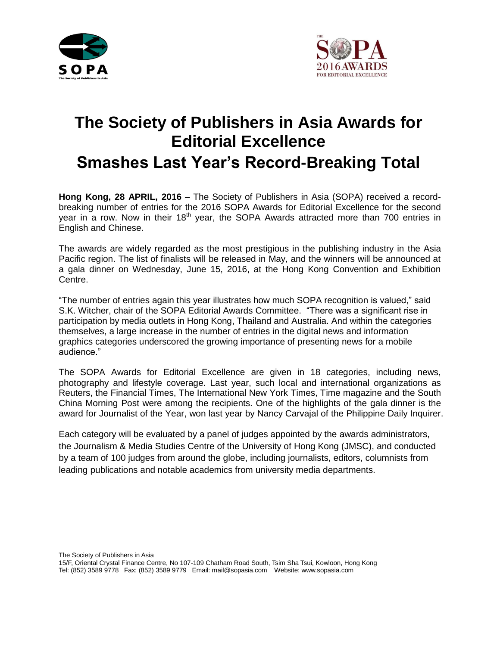



## **The Society of Publishers in Asia Awards for Editorial Excellence Smashes Last Year's Record-Breaking Total**

**Hong Kong, 28 APRIL, 2016** – The Society of Publishers in Asia (SOPA) received a recordbreaking number of entries for the 2016 SOPA Awards for Editorial Excellence for the second year in a row. Now in their 18<sup>th</sup> year, the SOPA Awards attracted more than 700 entries in English and Chinese.

The awards are widely regarded as the most prestigious in the publishing industry in the Asia Pacific region. The list of finalists will be released in May, and the winners will be announced at a gala dinner on Wednesday, June 15, 2016, at the Hong Kong Convention and Exhibition Centre.

"The number of entries again this year illustrates how much SOPA recognition is valued," said S.K. Witcher, chair of the SOPA Editorial Awards Committee. "There was a significant rise in participation by media outlets in Hong Kong, Thailand and Australia. And within the categories themselves, a large increase in the number of entries in the digital news and information graphics categories underscored the growing importance of presenting news for a mobile audience."

The SOPA Awards for Editorial Excellence are given in 18 categories, including news, photography and lifestyle coverage. Last year, such local and international organizations as Reuters, the Financial Times, The International New York Times, Time magazine and the South China Morning Post were among the recipients. One of the highlights of the gala dinner is the award for Journalist of the Year, won last year by Nancy Carvajal of the Philippine Daily Inquirer.

Each category will be evaluated by a panel of judges appointed by the awards administrators, the Journalism & Media Studies Centre of the University of Hong Kong (JMSC), and conducted by a team of 100 judges from around the globe, including journalists, editors, columnists from leading publications and notable academics from university media departments.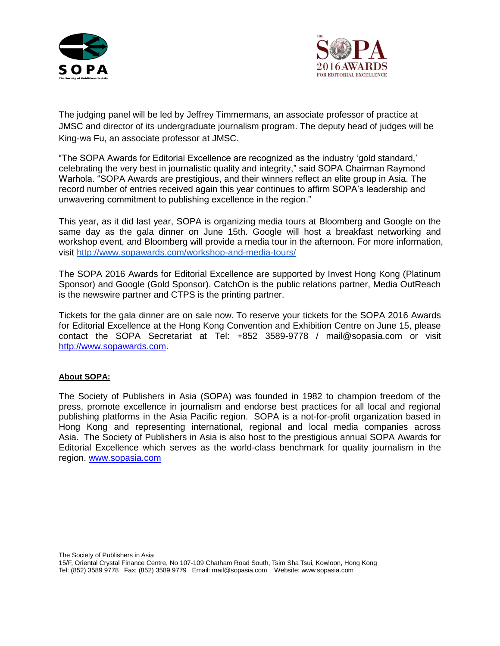



The judging panel will be led by Jeffrey Timmermans, an associate professor of practice at JMSC and director of its undergraduate journalism program. The deputy head of judges will be King-wa Fu, an associate professor at JMSC.

"The SOPA Awards for Editorial Excellence are recognized as the industry 'gold standard,' celebrating the very best in journalistic quality and integrity," said SOPA Chairman Raymond Warhola. "SOPA Awards are prestigious, and their winners reflect an elite group in Asia. The record number of entries received again this year continues to affirm SOPA's leadership and unwavering commitment to publishing excellence in the region."

This year, as it did last year, SOPA is organizing media tours at Bloomberg and Google on the same day as the gala dinner on June 15th. Google will host a breakfast networking and workshop event, and Bloomberg will provide a media tour in the afternoon. For more information, visit<http://www.sopawards.com/workshop-and-media-tours/>

The SOPA 2016 Awards for Editorial Excellence are supported by Invest Hong Kong (Platinum Sponsor) and Google (Gold Sponsor). CatchOn is the public relations partner, Media OutReach is the newswire partner and CTPS is the printing partner.

Tickets for the gala dinner are on sale now. To reserve your tickets for the SOPA 2016 Awards for Editorial Excellence at the Hong Kong Convention and Exhibition Centre on June 15, please contact the SOPA Secretariat at Tel: +852 3589-9778 / [mail@sopasia.com](mailto:mail@sopasia.com) or visit [http://www.sopawards.com.](http://www.sopawards.com/)

## **About SOPA:**

The Society of Publishers in Asia (SOPA) was founded in 1982 to champion freedom of the press, promote excellence in journalism and endorse best practices for all local and regional publishing platforms in the Asia Pacific region. SOPA is a not-for-profit organization based in Hong Kong and representing international, regional and local media companies across Asia. The Society of Publishers in Asia is also host to the prestigious annual SOPA Awards for Editorial Excellence which serves as the world-class benchmark for quality journalism in the region. [www.sopasia.com](http://www.sopasia.com/)